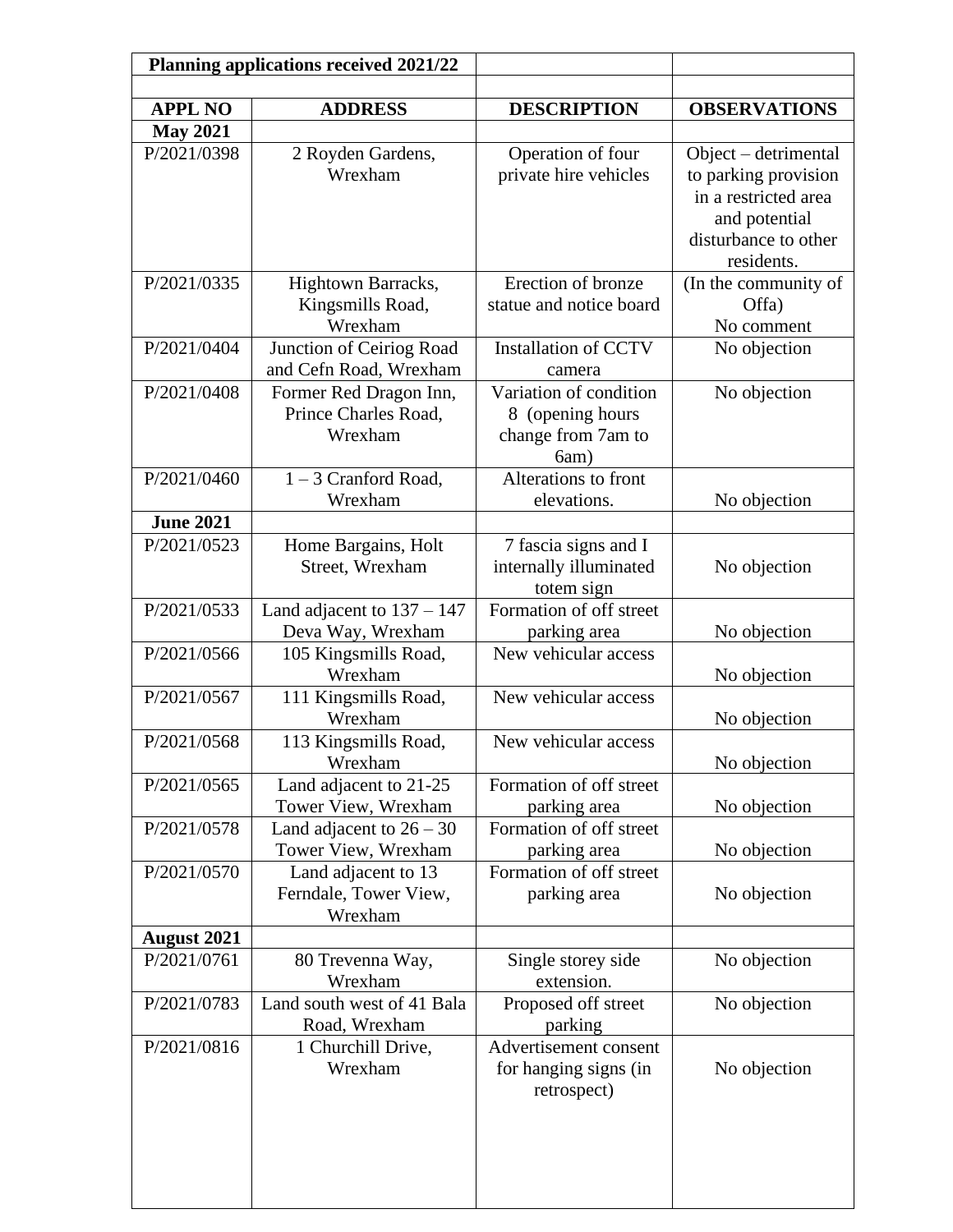| <b>Planning applications received 2021/22</b> |                                 |                                            |                                              |
|-----------------------------------------------|---------------------------------|--------------------------------------------|----------------------------------------------|
|                                               |                                 |                                            |                                              |
| <b>APPL NO</b>                                | <b>ADDRESS</b>                  | <b>DESCRIPTION</b>                         | <b>OBSERVATIONS</b>                          |
| <b>May 2021</b>                               |                                 |                                            |                                              |
| P/2021/0398                                   | 2 Royden Gardens,<br>Wrexham    | Operation of four<br>private hire vehicles | Object – detrimental                         |
|                                               |                                 |                                            | to parking provision<br>in a restricted area |
|                                               |                                 |                                            | and potential                                |
|                                               |                                 |                                            | disturbance to other                         |
|                                               |                                 |                                            | residents.                                   |
| P/2021/0335                                   | Hightown Barracks,              | Erection of bronze                         | (In the community of                         |
|                                               | Kingsmills Road,                | statue and notice board                    | Offa)                                        |
|                                               | Wrexham                         |                                            | No comment                                   |
| P/2021/0404                                   | Junction of Ceiriog Road        | <b>Installation of CCTV</b>                | No objection                                 |
|                                               | and Cefn Road, Wrexham          | camera                                     |                                              |
| P/2021/0408                                   | Former Red Dragon Inn,          | Variation of condition                     | No objection                                 |
|                                               | Prince Charles Road,            | 8 (opening hours                           |                                              |
|                                               | Wrexham                         | change from 7am to                         |                                              |
| P/2021/0460                                   | $1 - 3$ Cranford Road,          | 6am)<br>Alterations to front               |                                              |
|                                               | Wrexham                         | elevations.                                | No objection                                 |
| <b>June 2021</b>                              |                                 |                                            |                                              |
| P/2021/0523                                   | Home Bargains, Holt             | 7 fascia signs and I                       |                                              |
|                                               | Street, Wrexham                 | internally illuminated                     | No objection                                 |
|                                               |                                 | totem sign                                 |                                              |
| P/2021/0533                                   | Land adjacent to $137 - 147$    | Formation of off street                    |                                              |
|                                               | Deva Way, Wrexham               | parking area                               | No objection                                 |
| P/2021/0566                                   | 105 Kingsmills Road,            | New vehicular access                       |                                              |
|                                               | Wrexham                         |                                            | No objection                                 |
| P/2021/0567                                   | 111 Kingsmills Road,<br>Wrexham | New vehicular access                       | No objection                                 |
| P/2021/0568                                   | 113 Kingsmills Road,            | New vehicular access                       |                                              |
|                                               | Wrexham                         |                                            | No objection                                 |
| P/2021/0565                                   | Land adjacent to 21-25          | Formation of off street                    |                                              |
|                                               | Tower View, Wrexham             | parking area                               | No objection                                 |
| P/2021/0578                                   | Land adjacent to $26 - 30$      | Formation of off street                    |                                              |
|                                               | Tower View, Wrexham             | parking area                               | No objection                                 |
| P/2021/0570                                   | Land adjacent to 13             | Formation of off street                    |                                              |
|                                               | Ferndale, Tower View,           | parking area                               | No objection                                 |
|                                               | Wrexham                         |                                            |                                              |
| <b>August 2021</b>                            |                                 |                                            |                                              |
| P/2021/0761                                   | 80 Trevenna Way,<br>Wrexham     | Single storey side<br>extension.           | No objection                                 |
| P/2021/0783                                   | Land south west of 41 Bala      | Proposed off street                        | No objection                                 |
|                                               | Road, Wrexham                   | parking                                    |                                              |
| P/2021/0816                                   | 1 Churchill Drive,              | Advertisement consent                      |                                              |
|                                               | Wrexham                         | for hanging signs (in                      | No objection                                 |
|                                               |                                 | retrospect)                                |                                              |
|                                               |                                 |                                            |                                              |
|                                               |                                 |                                            |                                              |
|                                               |                                 |                                            |                                              |
|                                               |                                 |                                            |                                              |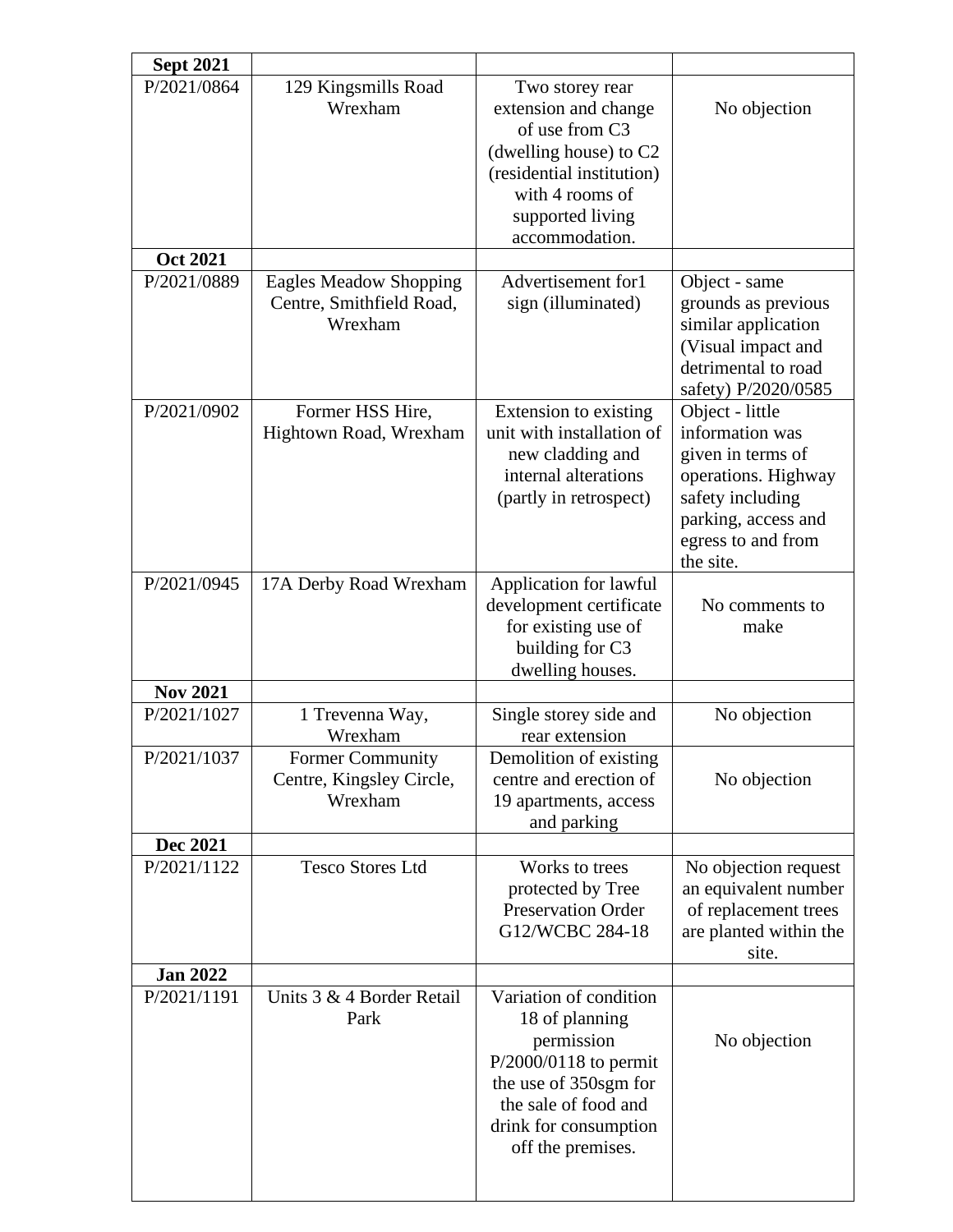| <b>Sept 2021</b> |                                                                      |                                                                                                                                                                                |                                                                                                                                                              |
|------------------|----------------------------------------------------------------------|--------------------------------------------------------------------------------------------------------------------------------------------------------------------------------|--------------------------------------------------------------------------------------------------------------------------------------------------------------|
| P/2021/0864      | 129 Kingsmills Road<br>Wrexham                                       | Two storey rear<br>extension and change<br>of use from C3<br>(dwelling house) to $C2$<br>(residential institution)<br>with 4 rooms of<br>supported living<br>accommodation.    | No objection                                                                                                                                                 |
| <b>Oct 2021</b>  |                                                                      |                                                                                                                                                                                |                                                                                                                                                              |
| P/2021/0889      | <b>Eagles Meadow Shopping</b><br>Centre, Smithfield Road,<br>Wrexham | Advertisement for1<br>sign (illuminated)                                                                                                                                       | Object - same<br>grounds as previous<br>similar application<br>(Visual impact and<br>detrimental to road<br>safety) P/2020/0585                              |
| P/2021/0902      | Former HSS Hire,<br>Hightown Road, Wrexham                           | Extension to existing<br>unit with installation of<br>new cladding and<br>internal alterations<br>(partly in retrospect)                                                       | Object - little<br>information was<br>given in terms of<br>operations. Highway<br>safety including<br>parking, access and<br>egress to and from<br>the site. |
| P/2021/0945      | 17A Derby Road Wrexham                                               | Application for lawful<br>development certificate<br>for existing use of<br>building for C3<br>dwelling houses.                                                                | No comments to<br>make                                                                                                                                       |
| <b>Nov 2021</b>  |                                                                      |                                                                                                                                                                                |                                                                                                                                                              |
| P/2021/1027      | 1 Trevenna Way,<br>Wrexham                                           | Single storey side and<br>rear extension                                                                                                                                       | No objection                                                                                                                                                 |
| P/2021/1037      | <b>Former Community</b><br>Centre, Kingsley Circle,<br>Wrexham       | Demolition of existing<br>centre and erection of<br>19 apartments, access<br>and parking                                                                                       | No objection                                                                                                                                                 |
| <b>Dec 2021</b>  |                                                                      |                                                                                                                                                                                |                                                                                                                                                              |
| P/2021/1122      | <b>Tesco Stores Ltd</b>                                              | Works to trees<br>protected by Tree<br><b>Preservation Order</b><br>G12/WCBC 284-18                                                                                            | No objection request<br>an equivalent number<br>of replacement trees<br>are planted within the<br>site.                                                      |
| <b>Jan 2022</b>  |                                                                      |                                                                                                                                                                                |                                                                                                                                                              |
| P/2021/1191      | Units 3 & 4 Border Retail<br>Park                                    | Variation of condition<br>18 of planning<br>permission<br>P/2000/0118 to permit<br>the use of 350sgm for<br>the sale of food and<br>drink for consumption<br>off the premises. | No objection                                                                                                                                                 |